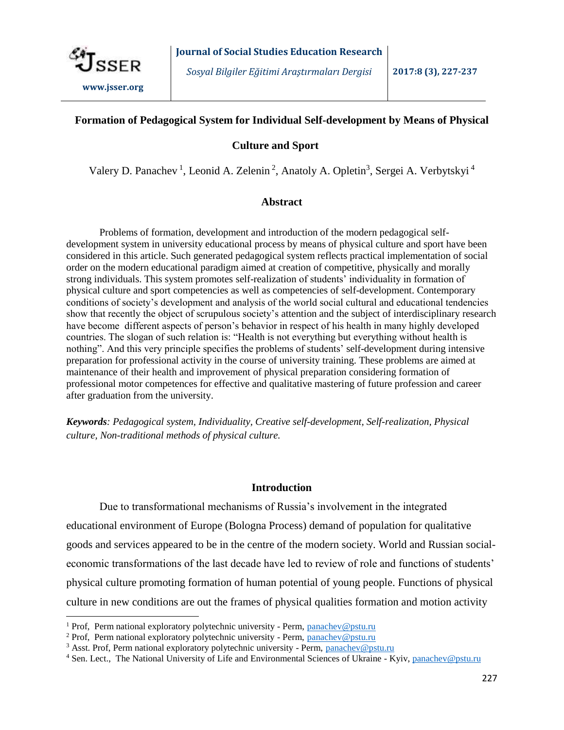

 $\overline{\phantom{a}}$ 

*Sosyal Bilgiler Eğitimi Araştırmaları Dergisi* **2017:8 (3), 227-237**

# **Formation of Pedagogical System for Individual Self-development by Means of Physical**

## **Culture and Sport**

Valery D. Panachev<sup>1</sup>, Leonid A. Zelenin<sup>2</sup>, Anatoly A. Opletin<sup>3</sup>, Sergei A. Verbytskyi<sup>4</sup>

## **Abstract**

Problems of formation, development and introduction of the modern pedagogical selfdevelopment system in university educational process by means of physical culture and sport have been considered in this article. Such generated pedagogical system reflects practical implementation of social order on the modern educational paradigm aimed at creation of competitive, physically and morally strong individuals. This system promotes self-realization of students' individuality in formation of physical culture and sport competencies as well as competencies of self-development. Contemporary conditions of society's development and analysis of the world social cultural and educational tendencies show that recently the object of scrupulous society's attention and the subject of interdisciplinary research have become different aspects of person's behavior in respect of his health in many highly developed countries. The slogan of such relation is: "Health is not everything but everything without health is nothing". And this very principle specifies the problems of students' self-development during intensive preparation for professional activity in the course of university training. These problems are aimed at maintenance of their health and improvement of physical preparation considering formation of professional motor competences for effective and qualitative mastering of future profession and career after graduation from the university.

*Keywords: Pedagogical system, Individuality, Creative self-development, Self-realization, Physical culture, Non-traditional methods of physical culture.*

## **Introduction**

Due to transformational mechanisms of Russia's involvement in the integrated educational environment of Europe (Bologna Process) demand of population for qualitative goods and services appeared to be in the centre of the modern society. World and Russian socialeconomic transformations of the last decade have led to review of role and functions of students' physical culture promoting formation of human potential of young people. Functions of physical culture in new conditions are out the frames of physical qualities formation and motion activity

<sup>&</sup>lt;sup>1</sup> Prof, Perm national exploratory polytechnic university - Perm, panachev@pstu.ru

<sup>&</sup>lt;sup>2</sup> Prof, Perm national exploratory polytechnic university - Perm, panachev@pstu.ru

<sup>&</sup>lt;sup>3</sup> Asst. Prof, Perm national exploratory polytechnic university - Perm, panachev@pstu.ru

<sup>&</sup>lt;sup>4</sup> Sen. Lect., The National University of Life and Environmental Sciences of Ukraine - Kyiv, panachev@pstu.ru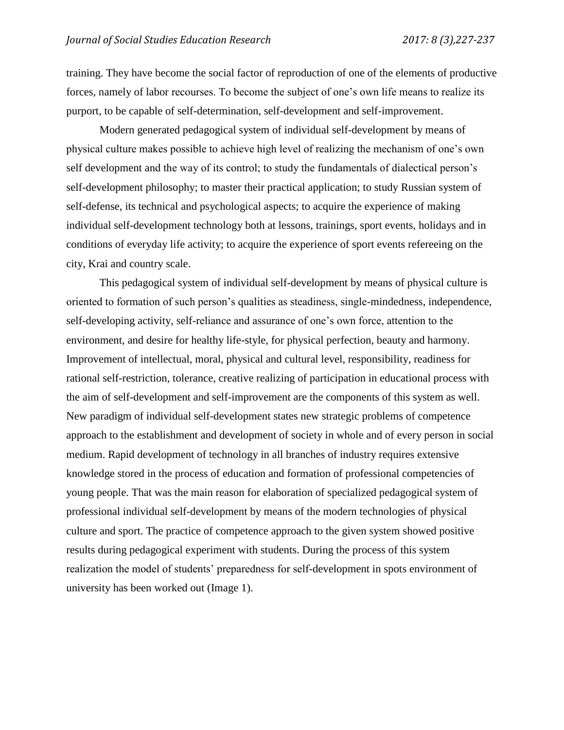training. They have become the social factor of reproduction of one of the elements of productive forces, namely of labor recourses. To become the subject of one's own life means to realize its purport, to be capable of self-determination, self-development and self-improvement.

Modern generated pedagogical system of individual self-development by means of physical culture makes possible to achieve high level of realizing the mechanism of one's own self development and the way of its control; to study the fundamentals of dialectical person's self-development philosophy; to master their practical application; to study Russian system of self-defense, its technical and psychological aspects; to acquire the experience of making individual self-development technology both at lessons, trainings, sport events, holidays and in conditions of everyday life activity; to acquire the experience of sport events refereeing on the city, Krai and country scale.

This pedagogical system of individual self-development by means of physical culture is oriented to formation of such person's qualities as steadiness, single-mindedness, independence, self-developing activity, self-reliance and assurance of one's own force, attention to the environment, and desire for healthy life-style, for physical perfection, beauty and harmony. Improvement of intellectual, moral, physical and cultural level, responsibility, readiness for rational self-restriction, tolerance, creative realizing of participation in educational process with the aim of self-development and self-improvement are the components of this system as well. New paradigm of individual self-development states new strategic problems of competence approach to the establishment and development of society in whole and of every person in social medium. Rapid development of technology in all branches of industry requires extensive knowledge stored in the process of education and formation of professional competencies of young people. That was the main reason for elaboration of specialized pedagogical system of professional individual self-development by means of the modern technologies of physical culture and sport. The practice of competence approach to the given system showed positive results during pedagogical experiment with students. During the process of this system realization the model of students' preparedness for self-development in spots environment of university has been worked out (Image 1).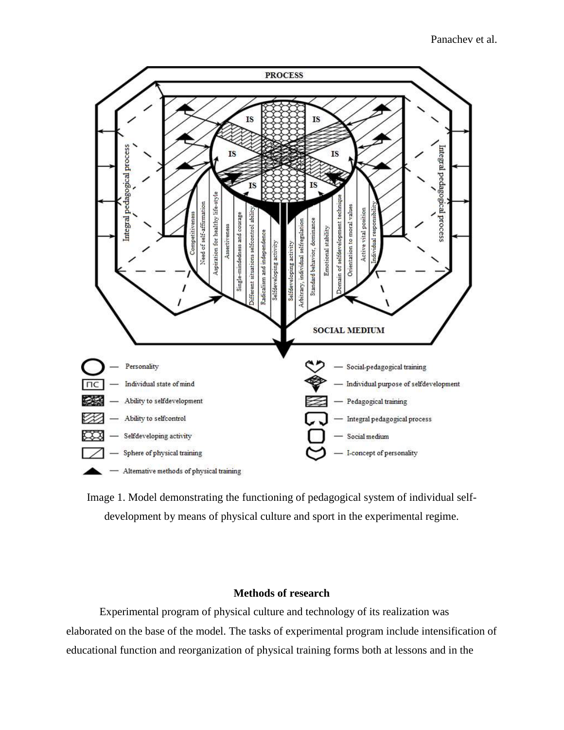

Image 1. Model demonstrating the functioning of pedagogical system of individual selfdevelopment by means of physical culture and sport in the experimental regime.

# **Methods of research**

Experimental program of physical culture and technology of its realization was elaborated on the base of the model. The tasks of experimental program include intensification of educational function and reorganization of physical training forms both at lessons and in the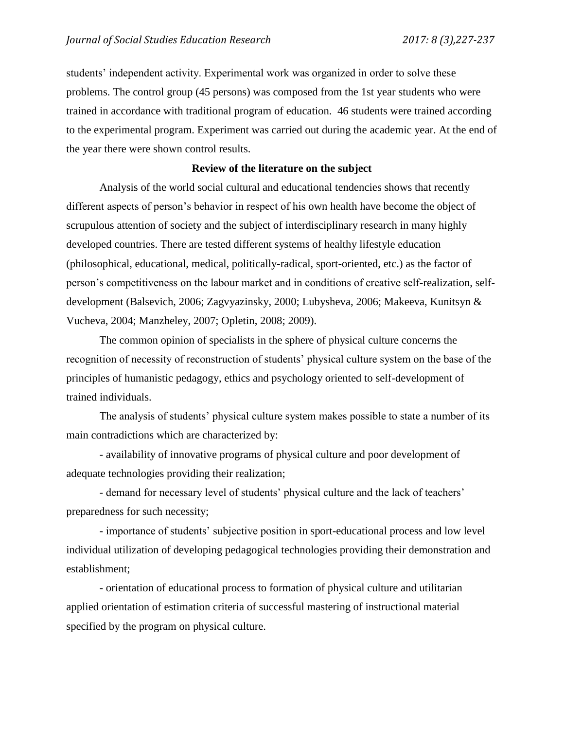students' independent activity. Experimental work was organized in order to solve these problems. The control group (45 persons) was composed from the 1st year students who were trained in accordance with traditional program of education. 46 students were trained according to the experimental program. Experiment was carried out during the academic year. At the end of the year there were shown control results.

## **Review of the literature on the subject**

Analysis of the world social cultural and educational tendencies shows that recently different aspects of person's behavior in respect of his own health have become the object of scrupulous attention of society and the subject of interdisciplinary research in many highly developed countries. There are tested different systems of healthy lifestyle education (philosophical, educational, medical, politically-radical, sport-oriented, etc.) as the factor of person's competitiveness on the labour market and in conditions of creative self-realization, selfdevelopment (Balsevich, 2006; Zagvyazinsky, 2000; Lubysheva, 2006; Makeeva, Kunitsyn & Vucheva, 2004; Manzheley, 2007; Opletin, 2008; 2009).

The common opinion of specialists in the sphere of physical culture concerns the recognition of necessity of reconstruction of students' physical culture system on the base of the principles of humanistic pedagogy, ethics and psychology oriented to self-development of trained individuals.

The analysis of students' physical culture system makes possible to state a number of its main contradictions which are characterized by:

- availability of innovative programs of physical culture and poor development of adequate technologies providing their realization;

- demand for necessary level of students' physical culture and the lack of teachers' preparedness for such necessity;

- importance of students' subjective position in sport-educational process and low level individual utilization of developing pedagogical technologies providing their demonstration and establishment;

- orientation of educational process to formation of physical culture and utilitarian applied orientation of estimation criteria of successful mastering of instructional material specified by the program on physical culture.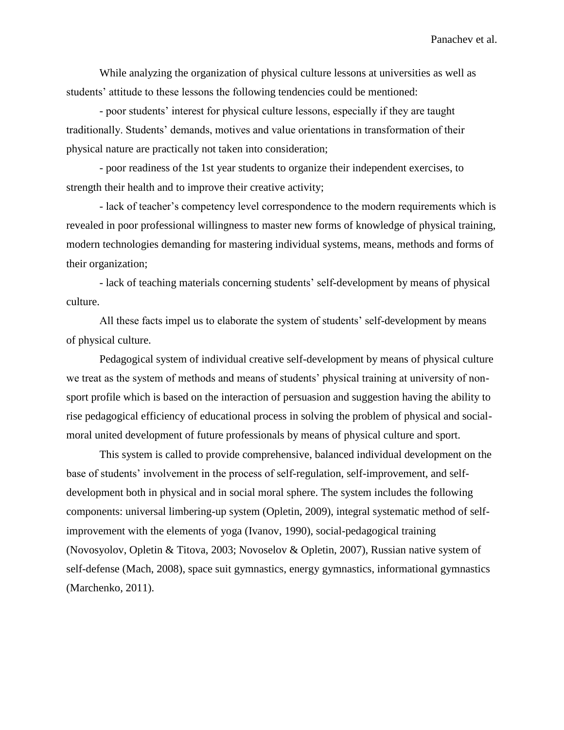While analyzing the organization of physical culture lessons at universities as well as students' attitude to these lessons the following tendencies could be mentioned:

- poor students' interest for physical culture lessons, especially if they are taught traditionally. Students' demands, motives and value orientations in transformation of their physical nature are practically not taken into consideration;

- poor readiness of the 1st year students to organize their independent exercises, to strength their health and to improve their creative activity;

- lack of teacher's competency level correspondence to the modern requirements which is revealed in poor professional willingness to master new forms of knowledge of physical training, modern technologies demanding for mastering individual systems, means, methods and forms of their organization;

- lack of teaching materials concerning students' self-development by means of physical culture.

All these facts impel us to elaborate the system of students' self-development by means of physical culture.

Pedagogical system of individual creative self-development by means of physical culture we treat as the system of methods and means of students' physical training at university of nonsport profile which is based on the interaction of persuasion and suggestion having the ability to rise pedagogical efficiency of educational process in solving the problem of physical and socialmoral united development of future professionals by means of physical culture and sport.

This system is called to provide comprehensive, balanced individual development on the base of students' involvement in the process of self-regulation, self-improvement, and selfdevelopment both in physical and in social moral sphere. The system includes the following components: universal limbering-up system (Opletin, 2009), integral systematic method of selfimprovement with the elements of yoga (Ivanov, 1990), social-pedagogical training (Novosyolov, Opletin & Titova, 2003; Novoselov & Opletin, 2007), Russian native system of self-defense (Mach, 2008), space suit gymnastics, energy gymnastics, informational gymnastics (Marchenko, 2011).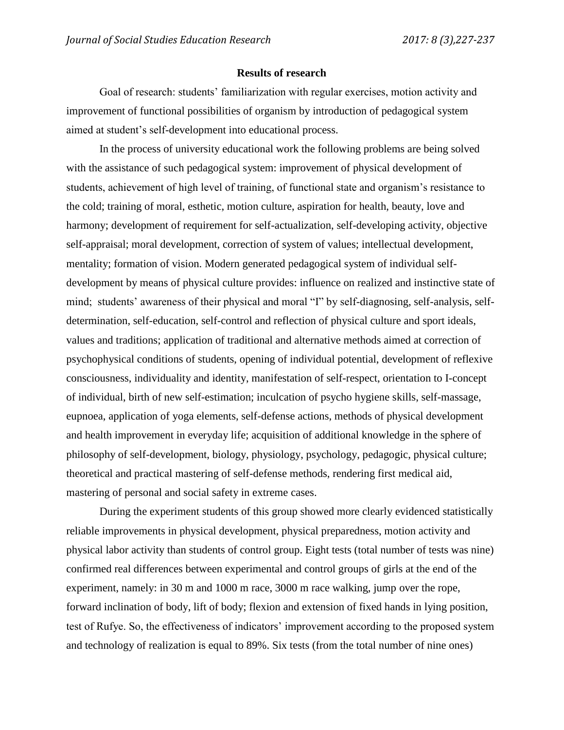### **Results of research**

Goal of research: students' familiarization with regular exercises, motion activity and improvement of functional possibilities of organism by introduction of pedagogical system aimed at student's self-development into educational process.

In the process of university educational work the following problems are being solved with the assistance of such pedagogical system: improvement of physical development of students, achievement of high level of training, of functional state and organism's resistance to the cold; training of moral, esthetic, motion culture, aspiration for health, beauty, love and harmony; development of requirement for self-actualization, self-developing activity, objective self-appraisal; moral development, correction of system of values; intellectual development, mentality; formation of vision. Modern generated pedagogical system of individual selfdevelopment by means of physical culture provides: influence on realized and instinctive state of mind; students' awareness of their physical and moral "I" by self-diagnosing, self-analysis, selfdetermination, self-education, self-control and reflection of physical culture and sport ideals, values and traditions; application of traditional and alternative methods aimed at correction of psychophysical conditions of students, opening of individual potential, development of reflexive consciousness, individuality and identity, manifestation of self-respect, orientation to I-concept of individual, birth of new self-estimation; inculcation of psycho hygiene skills, self-massage, eupnoea, application of yoga elements, self-defense actions, methods of physical development and health improvement in everyday life; acquisition of additional knowledge in the sphere of philosophy of self-development, biology, physiology, psychology, pedagogic, physical culture; theoretical and practical mastering of self-defense methods, rendering first medical aid, mastering of personal and social safety in extreme cases.

During the experiment students of this group showed more clearly evidenced statistically reliable improvements in physical development, physical preparedness, motion activity and physical labor activity than students of control group. Eight tests (total number of tests was nine) confirmed real differences between experimental and control groups of girls at the end of the experiment, namely: in 30 m and 1000 m race, 3000 m race walking, jump over the rope, forward inclination of body, lift of body; flexion and extension of fixed hands in lying position, test of Rufye. So, the effectiveness of indicators' improvement according to the proposed system and technology of realization is equal to 89%. Six tests (from the total number of nine ones)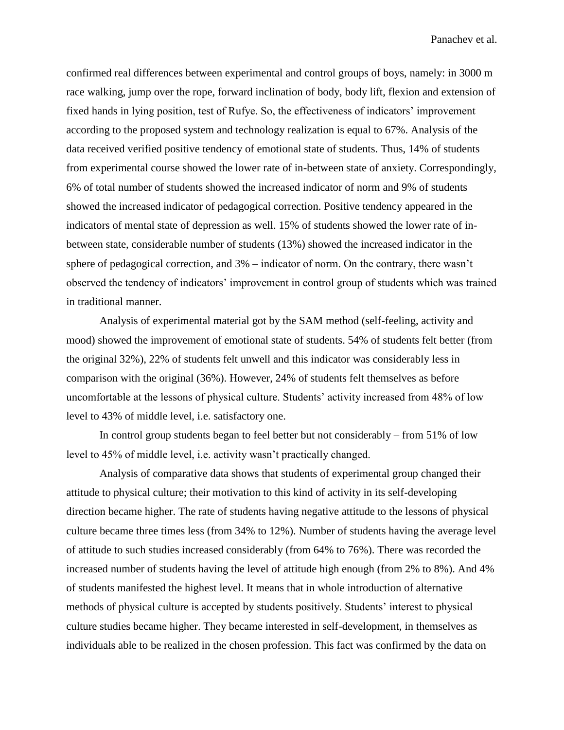confirmed real differences between experimental and control groups of boys, namely: in 3000 m race walking, jump over the rope, forward inclination of body, body lift, flexion and extension of fixed hands in lying position, test of Rufye. So, the effectiveness of indicators' improvement according to the proposed system and technology realization is equal to 67%. Analysis of the data received verified positive tendency of emotional state of students. Thus, 14% of students from experimental course showed the lower rate of in-between state of anxiety. Correspondingly, 6% of total number of students showed the increased indicator of norm and 9% of students showed the increased indicator of pedagogical correction. Positive tendency appeared in the indicators of mental state of depression as well. 15% of students showed the lower rate of inbetween state, considerable number of students (13%) showed the increased indicator in the sphere of pedagogical correction, and 3% – indicator of norm. On the contrary, there wasn't observed the tendency of indicators' improvement in control group of students which was trained in traditional manner.

Analysis of experimental material got by the SAM method (self-feeling, activity and mood) showed the improvement of emotional state of students. 54% of students felt better (from the original 32%), 22% of students felt unwell and this indicator was considerably less in comparison with the original (36%). However, 24% of students felt themselves as before uncomfortable at the lessons of physical culture. Students' activity increased from 48% of low level to 43% of middle level, i.e. satisfactory one.

In control group students began to feel better but not considerably – from 51% of low level to 45% of middle level, i.e. activity wasn't practically changed.

Analysis of comparative data shows that students of experimental group changed their attitude to physical culture; their motivation to this kind of activity in its self-developing direction became higher. The rate of students having negative attitude to the lessons of physical culture became three times less (from 34% to 12%). Number of students having the average level of attitude to such studies increased considerably (from 64% to 76%). There was recorded the increased number of students having the level of attitude high enough (from 2% to 8%). And 4% of students manifested the highest level. It means that in whole introduction of alternative methods of physical culture is accepted by students positively. Students' interest to physical culture studies became higher. They became interested in self-development, in themselves as individuals able to be realized in the chosen profession. This fact was confirmed by the data on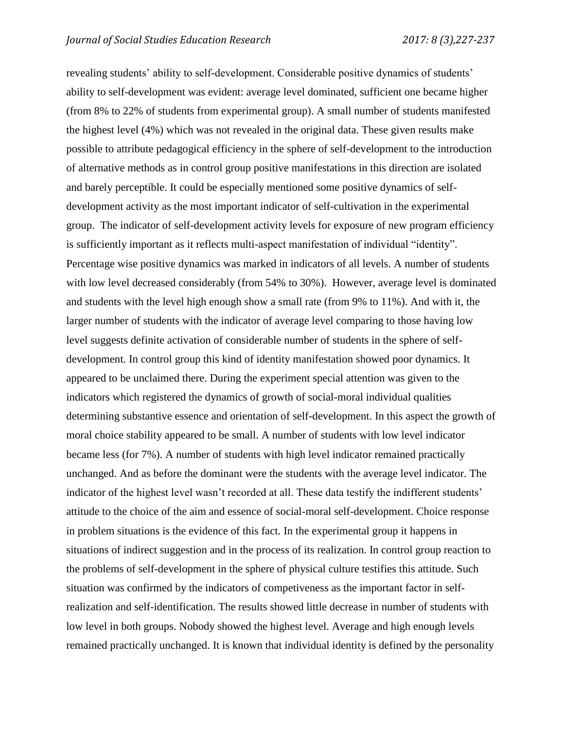revealing students' ability to self-development. Considerable positive dynamics of students' ability to self-development was evident: average level dominated, sufficient one became higher (from 8% to 22% of students from experimental group). A small number of students manifested the highest level (4%) which was not revealed in the original data. These given results make possible to attribute pedagogical efficiency in the sphere of self-development to the introduction of alternative methods as in control group positive manifestations in this direction are isolated and barely perceptible. It could be especially mentioned some positive dynamics of selfdevelopment activity as the most important indicator of self-cultivation in the experimental group. The indicator of self-development activity levels for exposure of new program efficiency is sufficiently important as it reflects multi-aspect manifestation of individual "identity". Percentage wise positive dynamics was marked in indicators of all levels. A number of students with low level decreased considerably (from 54% to 30%). However, average level is dominated and students with the level high enough show a small rate (from 9% to 11%). And with it, the larger number of students with the indicator of average level comparing to those having low level suggests definite activation of considerable number of students in the sphere of selfdevelopment. In control group this kind of identity manifestation showed poor dynamics. It appeared to be unclaimed there. During the experiment special attention was given to the indicators which registered the dynamics of growth of social-moral individual qualities determining substantive essence and orientation of self-development. In this aspect the growth of moral choice stability appeared to be small. A number of students with low level indicator became less (for 7%). A number of students with high level indicator remained practically unchanged. And as before the dominant were the students with the average level indicator. The indicator of the highest level wasn't recorded at all. These data testify the indifferent students' attitude to the choice of the aim and essence of social-moral self-development. Choice response in problem situations is the evidence of this fact. In the experimental group it happens in situations of indirect suggestion and in the process of its realization. In control group reaction to the problems of self-development in the sphere of physical culture testifies this attitude. Such situation was confirmed by the indicators of competiveness as the important factor in selfrealization and self-identification. The results showed little decrease in number of students with low level in both groups. Nobody showed the highest level. Average and high enough levels remained practically unchanged. It is known that individual identity is defined by the personality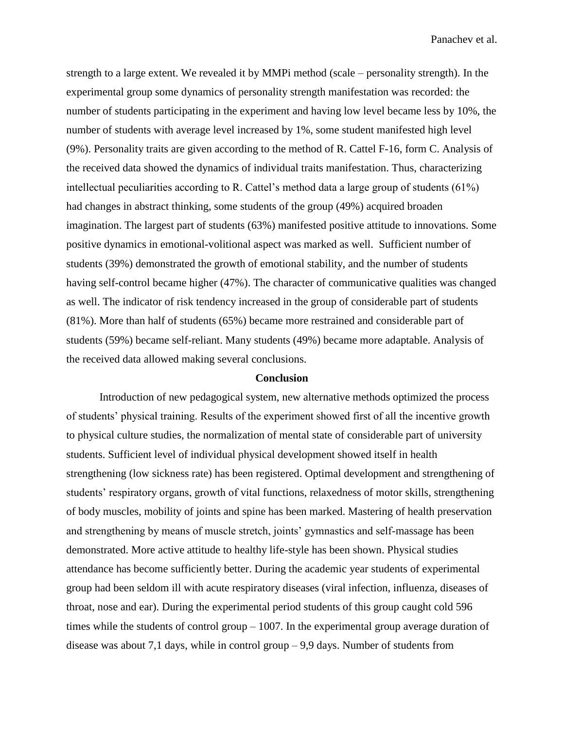strength to a large extent. We revealed it by MMPi method (scale – personality strength). In the experimental group some dynamics of personality strength manifestation was recorded: the number of students participating in the experiment and having low level became less by 10%, the number of students with average level increased by 1%, some student manifested high level (9%). Personality traits are given according to the method of R. Cattel F-16, form C. Analysis of the received data showed the dynamics of individual traits manifestation. Thus, characterizing intellectual peculiarities according to R. Cattel's method data a large group of students (61%) had changes in abstract thinking, some students of the group (49%) acquired broaden imagination. The largest part of students (63%) manifested positive attitude to innovations. Some positive dynamics in emotional-volitional aspect was marked as well. Sufficient number of students (39%) demonstrated the growth of emotional stability, and the number of students having self-control became higher (47%). The character of communicative qualities was changed as well. The indicator of risk tendency increased in the group of considerable part of students (81%). More than half of students (65%) became more restrained and considerable part of students (59%) became self-reliant. Many students (49%) became more adaptable. Analysis of the received data allowed making several conclusions.

#### **Conclusion**

Introduction of new pedagogical system, new alternative methods optimized the process of students' physical training. Results of the experiment showed first of all the incentive growth to physical culture studies, the normalization of mental state of considerable part of university students. Sufficient level of individual physical development showed itself in health strengthening (low sickness rate) has been registered. Optimal development and strengthening of students' respiratory organs, growth of vital functions, relaxedness of motor skills, strengthening of body muscles, mobility of joints and spine has been marked. Mastering of health preservation and strengthening by means of muscle stretch, joints' gymnastics and self-massage has been demonstrated. More active attitude to healthy life-style has been shown. Physical studies attendance has become sufficiently better. During the academic year students of experimental group had been seldom ill with acute respiratory diseases (viral infection, influenza, diseases of throat, nose and ear). During the experimental period students of this group caught cold 596 times while the students of control group – 1007. In the experimental group average duration of disease was about 7,1 days, while in control group – 9,9 days. Number of students from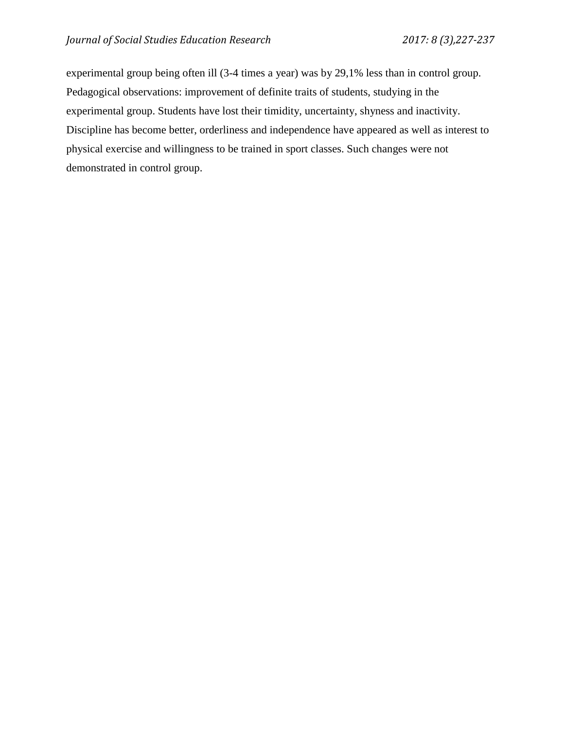experimental group being often ill (3-4 times a year) was by 29,1% less than in control group. Pedagogical observations: improvement of definite traits of students, studying in the experimental group. Students have lost their timidity, uncertainty, shyness and inactivity. Discipline has become better, orderliness and independence have appeared as well as interest to physical exercise and willingness to be trained in sport classes. Such changes were not demonstrated in control group.